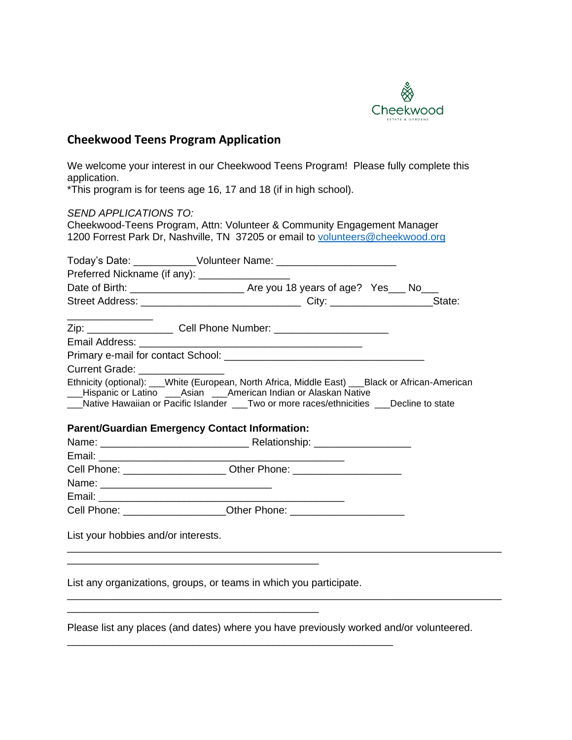

## **Cheekwood Teens Program Application**

We welcome your interest in our Cheekwood Teens Program! Please fully complete this application.

\*This program is for teens age 16, 17 and 18 (if in high school).

*SEND APPLICATIONS TO:* Cheekwood-Teens Program, Attn: Volunteer & Community Engagement Manager 1200 Forrest Park Dr, Nashville, TN 37205 or email to [volunteers@cheekwood.org](mailto:volunteers@cheekwood.org) Today's Date: Wolunteer Name: 2004 Preferred Nickname (if any): \_\_\_\_\_\_\_\_\_\_\_\_\_\_\_\_ Date of Birth: \_\_\_\_\_\_\_\_\_\_\_\_\_\_\_\_\_\_\_\_ Are you 18 years of age? Yes\_\_\_ No\_\_\_ Street Address: \_\_\_\_\_\_\_\_\_\_\_\_\_\_\_\_\_\_\_\_\_\_\_\_\_\_\_\_ City: \_\_\_\_\_\_\_\_\_\_\_\_\_\_\_\_\_\_State: \_\_\_\_\_\_\_\_\_\_\_\_\_\_\_ Zip: \_\_\_\_\_\_\_\_\_\_\_\_\_\_\_\_\_\_\_\_ Cell Phone Number: \_\_\_\_\_\_\_\_\_\_\_\_\_\_\_\_\_\_\_\_\_\_\_\_\_\_\_\_\_\_\_\_\_\_\_ Email Address: \_\_\_\_\_\_\_\_\_\_\_\_\_\_\_\_\_\_\_\_\_\_\_\_\_\_\_\_\_\_\_\_\_\_\_\_\_\_\_ Primary e-mail for contact School: **Example 2018** Current Grade: Ethnicity (optional): White (European, North Africa, Middle East) Black or African-American \_\_\_Hispanic or Latino \_\_\_Asian \_\_\_American Indian or Alaskan Native \_\_\_Native Hawaiian or Pacific Islander \_\_\_Two or more races/ethnicities \_\_\_Decline to state **Parent/Guardian Emergency Contact Information:** Name: \_\_\_\_\_\_\_\_\_\_\_\_\_\_\_\_\_\_\_\_\_\_\_\_\_\_ Relationship: \_\_\_\_\_\_\_\_\_\_\_\_\_\_\_\_\_ Email: \_\_\_\_\_\_\_\_\_\_\_\_\_\_\_\_\_\_\_\_\_\_\_\_\_\_\_\_\_\_\_\_\_\_\_\_\_\_\_\_\_\_\_ Cell Phone: example of Other Phone:  $\bullet$  Other Phone: Name: \_\_\_\_\_\_\_\_\_\_\_\_\_\_\_\_\_\_\_\_\_\_\_\_\_\_\_\_\_\_ Email: \_\_\_\_\_\_\_\_\_\_\_\_\_\_\_\_\_\_\_\_\_\_\_\_\_\_\_\_\_\_\_\_\_\_\_\_\_\_\_\_\_\_\_ Cell Phone: <br>
Cell Phone: 
Cuber Phone: 
Cuber Phone: 
Cuber Phone: 
Cuber Phone: 
Cuber Phone: 
Cuber Phone: 
Cuber Phone: 
Cuber Phone: 
Cuber Phone: 
Cuber Phone: 
Cuber Phone: 
Cuber Phone: 
Cuber Phone: 
Cuber Phone: List your hobbies and/or interests. \_\_\_\_\_\_\_\_\_\_\_\_\_\_\_\_\_\_\_\_\_\_\_\_\_\_\_\_\_\_\_\_\_\_\_\_\_\_\_\_\_\_\_\_\_\_\_\_\_\_\_\_\_\_\_\_\_\_\_\_\_\_\_\_\_\_\_\_\_\_\_\_\_\_\_\_ \_\_\_\_\_\_\_\_\_\_\_\_\_\_\_\_\_\_\_\_\_\_\_\_\_\_\_\_\_\_\_\_\_\_\_\_\_\_\_\_\_\_\_\_ List any organizations, groups, or teams in which you participate. \_\_\_\_\_\_\_\_\_\_\_\_\_\_\_\_\_\_\_\_\_\_\_\_\_\_\_\_\_\_\_\_\_\_\_\_\_\_\_\_\_\_\_\_\_\_\_\_\_\_\_\_\_\_\_\_\_\_\_\_\_\_\_\_\_\_\_\_\_\_\_\_\_\_\_\_

Please list any places (and dates) where you have previously worked and/or volunteered.

\_\_\_\_\_\_\_\_\_\_\_\_\_\_\_\_\_\_\_\_\_\_\_\_\_\_\_\_\_\_\_\_\_\_\_\_\_\_\_\_\_\_\_\_\_\_\_\_\_\_\_\_\_\_\_\_\_

\_\_\_\_\_\_\_\_\_\_\_\_\_\_\_\_\_\_\_\_\_\_\_\_\_\_\_\_\_\_\_\_\_\_\_\_\_\_\_\_\_\_\_\_